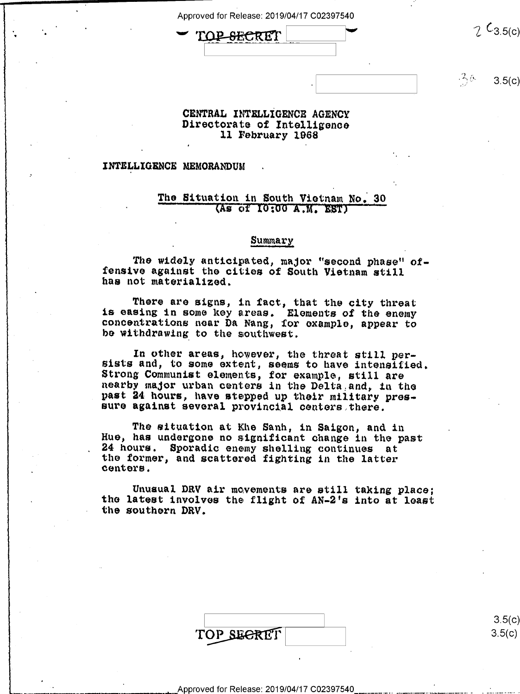$\sim$   $\frac{1}{2}$   $\frac{1}{2}$   $\frac{1}{2}$   $\frac{1}{2}$   $\frac{1}{2}$   $\frac{1}{2}$   $\frac{1}{2}$   $\frac{1}{2}$   $\frac{1}{2}$   $\frac{1}{2}$   $\frac{1}{2}$   $\frac{1}{2}$   $\frac{1}{2}$   $\frac{1}{2}$   $\frac{1}{2}$   $\frac{1}{2}$   $\frac{1}{2}$   $\frac{1}{2}$   $\frac{1}{2}$   $\frac{1}{2}$   $\frac{1}{2}$   $\frac{1}{$  $\overline{a}$  is the contract of the contract of the contract of the contract of the contract of the contract of the contract of the contract of the contract of the contract of the contract of the contract of the contract of t

 $-26$  $3.5(c)$ 

# CENTRAL INTELLIGENCE AGENCY<br>Directorate of Intelligence 11 February 1968

### INTELLIGENCE MEMORANDUM

'

 $\, \overline{a} \, \overline{b} \, \overline{c} \, \overline{d} \, \overline{d} \, \overline{d} \, \overline{d} \, \overline{d} \, \overline{d} \, \overline{d} \, \overline{d} \, \overline{d} \, \overline{d} \, \overline{d} \, \overline{d} \, \overline{d} \, \overline{d} \, \overline{d} \, \overline{d} \, \overline{d} \, \overline{d} \, \overline{d} \, \overline{d} \, \overline{d} \, \overline{d} \, \overline{d} \, \overline{d} \, \over$ 

 $\blacksquare$ 

»

 $\bullet$ 

 $\blacksquare$ 

## The Situation in South Vietnam No. 30 (As of 10:00 A.M. EST)

#### \_ Summary

The widely anticipated, major "second phase" of- fensive against the cities of South Vietnam still has not materialized.

There are signs, in fact, that the city threat is easing in some key areas. Elements of the enemy concentrations near Da Nang, for example, appear to he withdrawing to the southwest.

In other areas, however, the threat still per-<br>sists and, to some extent, seems to have intensified.<br>Strong Communist elements, for example, still are<br>nearby major urban centers in the Delta and, in the past 24 hours, have stepped up their military pres-<br>sure against several provincial centers there.

The situation at Khe Sanh, in Saigon, and in Hue, has undergone no significant change in the past 24 hours. Sporadic enemy shelling continues at the former, and scattered fighting in the latter centers.

Unusual DRV air movements are still taking place;<br>the latest involves the flight of AN-2's into at least the southern DRV.

|            | 3.5(c) |
|------------|--------|
| TOP SECRET | 3.5(c) |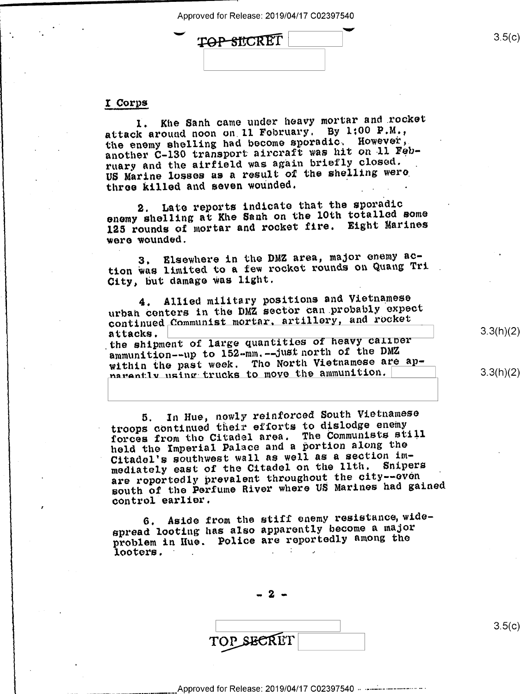TOP SICRET

## I Corps

1. Khe Sanh came under heavy mortar and rocket attack around noon on.l1 February. By 1:00 P.M., the enemy shelling had become sporadio. However,  $\epsilon$ another C-130 transport aircraft was hit on-ll February and the airfield was again briefly closed. US Marine losses as a result of the shelling were three killed and seven wounded.

2. Late reports indicate that the sporadic enemy shelling at Khe Sanh on the 10th totalled some 125 rounds of mortar and rocket fire. Eight Marines were wounded.

3. Elsewhere in the DMZ area, major enemy aotion was limited to a few rocket rounds on Quang Tri City, but damage was light.

4. Allied military positions and Vietnamese urban centers in the DMZ sector can probably expect continued Communist mortar, artillery, and rocket<br>attacks.

attacks. <u>Decement of large quantities of heavy caliber</u><br>the shipment of large quantities of heavy Caliber ammunition--up to 152-mm.--just north of the DMZ within the past week. The North Vietnamese are apnarantly using trucks to move the ammunition.

5. In Hue, newly reinforced South Vietnamese troops continued their efforts to dislodge enemy forces from the Citadel area. The Communists still held the Imperial Palace and a portion along the Citadel's southwest wall as well as a section im-<br>modiately east of the Citadel on the lith. Snipers mediately east of the Citadel on the llth. are reportedly prevalent throughout the city--even south of the Perfume River where US Marines had gained control earlier.

6. Aside from the stiff enemy resistance, widespread looting has also apparently become a major problem in Hue. Police are reportedly among the looters. . . : , \_

 $-2-$ 

TOP SECRET

 $3.5(c)$ 

 $3.5(c)$ 

3.3(h)(2)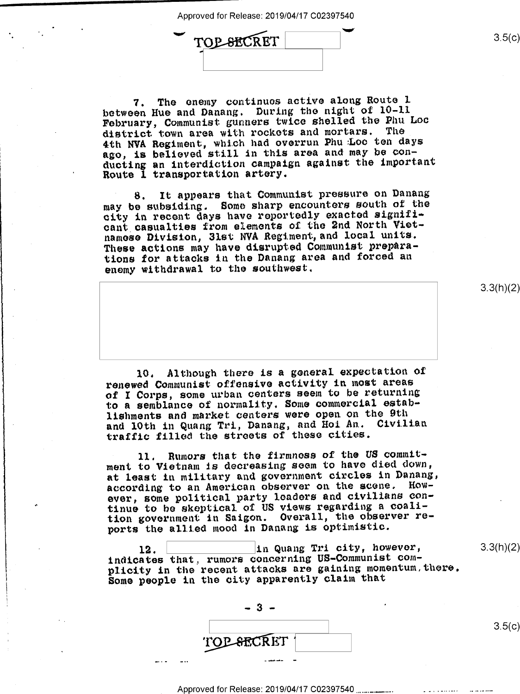'\*"

TOP-SECRET

7. The enemy continues active along Route <sup>l</sup> between Hue and Danang. During the night of 10-ll February, Communist gunners twice shelled the Phu Loo district town area with rockets and mortars. The 4th NVA Regiment, which had overrun Phu Loo ten days ago, is believed still in this area and may be conducting an interdiction campaign against the important Route I transportation artery.

8. It appears that Communist pressure on Danaug may be subsiding. Some sharp encounters south of the city in recent days have reportedly exacted significant casualties from elements oi the 2nd North Vietnamese Division, 3lst NVA Regiment,and local units, These actions may have disrupted Communist preparations for attacks in the Danang area and forced an enemy withdrawal to the southwest.

l0. Although there is a general expectation of renewed Communist offensive activity in most areas of I Corps, some urban centers seem to be returning to a semblance of normality. Some commercial establishments and market centers were open on the 9th and 10th in Quang Tri, Danang, and Hoi An. Civilian traffic filled the streets of these cities.

ll. Rumors that the firmness of the US commitment to Vietnam is decreasing seem to have died down, at least in military and government circles in Danang, according to an American observer on the scene. However, some political party leaders and civilians continue to be skeptical oi US views regarding a coalition government in Saigon. Overall, the observer reports the allied mood in Danang is optimistic.

12. [:::::::::::::]in Quang Tri city however indicates that, rumors concerning US-Communist complicity in the recent attacks are gaining momentum, there. Some people in the city apparently claim that



 $3.5(c)$ 

3.3(h)(2)

3.3(h)(2)

 $3.5(c)$ 

Approved for Release: 2019/04/17 C02397540 ...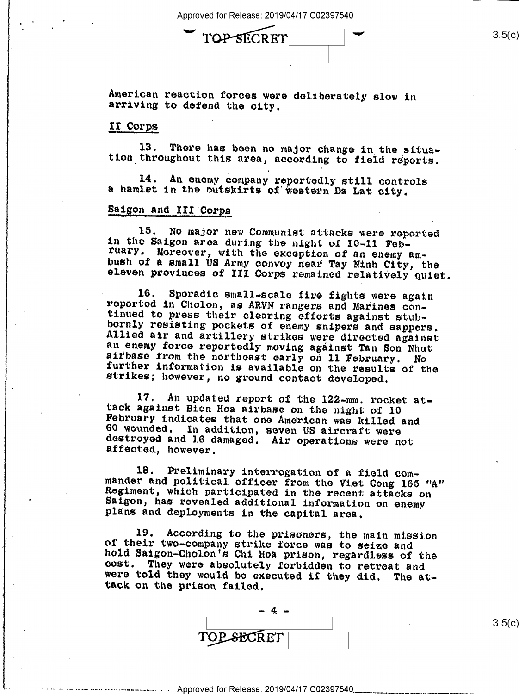$\Gamma$   $\Omega$   $\rightarrow$   $\Gamma$   $\sim$   $3.5(c)$ 

American reaction forces were deliberately slow in' arriving to defend the city.

#### II Corps

13. There has been no major change in the situa-<br>tion throughout this area, according to field reports.

14. An enemy company reportedly still controls a hamlet in the outskirts of'woatern Da Lat city.

## Saigon and III Corps

15. No major new Communist attacks were reported<br>in the Saigon area during the night of 10-11 Feb-<br>ruary. Moreover, with the exception of an enemy am-<br>bush of a small US Army convoy near Tay Ninh City, the<br>eleven provinces

16. Sporadic small-scale fire fights were again<br>reported in Cholon, as ARVN rangers and Marines con-<br>tinued to press their clearing efforts against stub-<br>bornly resisting pockets of enemy snipers and sappers.<br>Allied air an

17. An updated report of the 122-mm. rocket at-<br>tack against Bien Hoa airbase on the night of 10<br>February indicates that one American was killed and<br>60 wounded. In addition, seven US aircraft were<br>destroyed and 16 damaged.

18. Preliminary interrogation of a field com-<br>mander and political officer from the Viet Cong 165 "A"<br>Regiment, which participated in the recent attacks on<br>Saigon, has revealed additional information on enemy<br>plans and dep

19. According to the prisoners, the main mission<br>of their two-company strike force was to seize and<br>hold Saigon-Cholon's Chi Hoa prison, regardless of the<br>cost. They were absolutely forbidden to retreat and<br>were told they

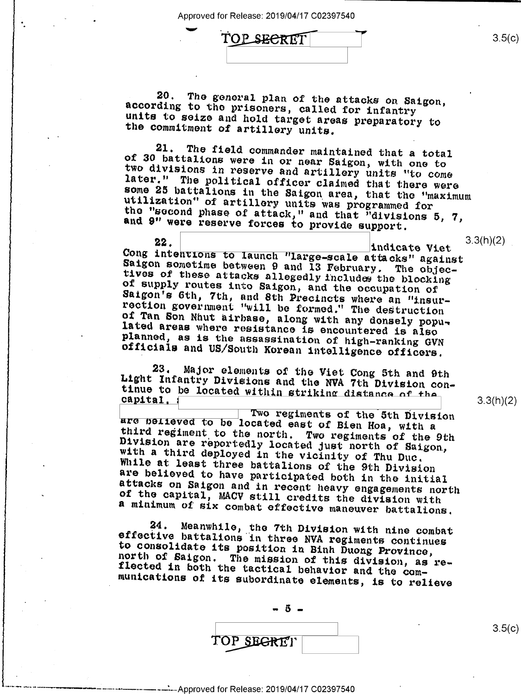"' TOPSBERET

20. The general plan of the attacks on Saigon, according to the prisoners, called for infantry units to seize and hold target areas preparatory to the commitment of artillery units.

21. The field commander maintained that a total<br>of 30 battalions were in or near Saigon, with one to<br>two divisions in reserve and artillery units "to come<br>later." The political officer claimed that there were<br>some 25 batta and 9" were reserve forces to provide support.

22. 22. 22. 1ndicate Viet<br>Cong intentions to launch "large-scale attacks" against Indicate Viet<br>
Saigon sometime between 9 and 13 February. The objec-<br>
tives of these attacks allegedly includes the blocking<br>
of supply routes into Saigon, and the occupation of<br>
Saigon's 6th, 7th, and 8th Precincts where

23. Major elements of the Viet Cong 5th and 9th<br>Light Infantry Divisions and the NVA 7th Division con-<br>tinue to be located within striking distance of the capital,

p I are believed to be located east of Bien Hoa, with a<br>third regiment to the north. Two regiments of the 9th<br>Division are reportedly located just north of Saigon,<br>with a third deployed in the vicinity of Thu Duc.<br>While at lea

24. Meanwhile, the 7th Division with nine combat<br>effective battalions in three NVA regiments continues<br>to consolidate its position in Binh Duong Province,<br>north of Saigon. The mission of this division, as re-<br>flected in bo

 $5-$ TOP SEGRET

Approved for Release: 2019/04/17 C02397540

3.3(h)(2)

 $3.5(c)$ 

 $3.3(h)(2)$ 

3.5(c)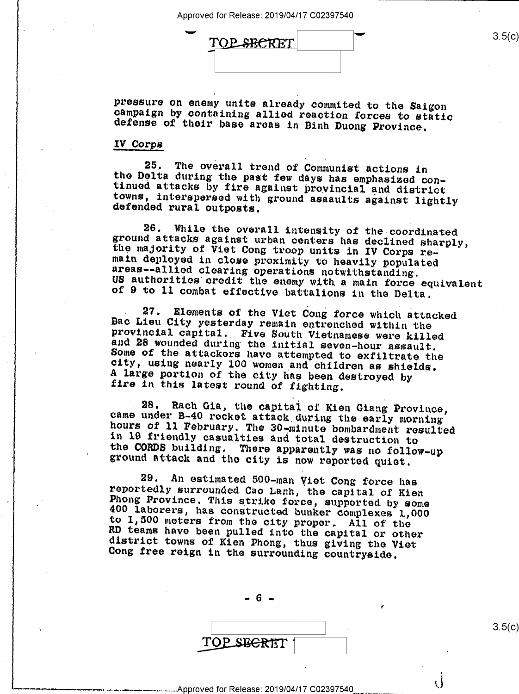| ∽ | TOP SECRET |  | 3.5(c) |
|---|------------|--|--------|
|   |            |  |        |

pressure on enemy units already commited to the Saigon campaign by containing allied reaction forces to static defense of their base areas in Binh Duong Province.

#### IV Corgs

the Delta during the past few days has emphasized con-<br>tinued attacks by fire against provincial and district<br>towns, interspersed with ground asaaults against lightly<br>defended rural outbosts. 25. The overall trend of Communist actions in

26. While the overall intensity of the coordinated<br>ground attacks against urban centers has declined sharply,<br>the majority of Viet Cong troop units in IV Corps re-<br>main deployed in close proximity to heavily populated<br>area

27. Elements of the Viet Cong force which attacked<br>Bac Lieu City yesterday remain entrenched within the<br>provincial capital. Five South Vietnamese were killed<br>and 28 wounded during the initial seven-hour assault.<br>Some of th

28. Rach Gia, the capital of Kien Giang Province,<br>came under B-40 rocket attack during the early morning<br>hours of 11 February. The 30-minute bombardment resulted<br>in 19 friendly casualties and total destruction to<br>the CORDS

29. An estimated 500-man Viet Cong force has<br>reportedly surrounded Cao Lanh, the capital of Kien<br>Phong Province. This strike force, supported by some<br>400 laborers, has constructed bunker complexes 1,000<br>to 1,500 meters fro

 $-6 -$ 

TOPSBERET

 $3.5(c)$ 

## ( )<br>4. Approved for Release: 2019/04/17 C02397540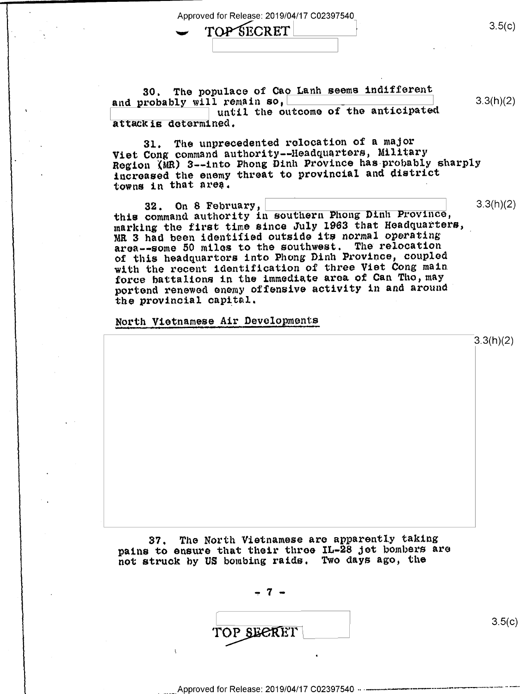TOP'SECRET 3.5(c)

'I

۰.

30. The populace of Cao Lanh seems indifferent<br>and probably will remain so, and probably will remain so,  $\frac{1}{2}$  and  $\frac{1}{2}$   $\frac{1}{2}$   $\frac{1}{2}$   $\frac{1}{2}$   $\frac{1}{2}$   $\frac{1}{2}$   $\frac{1}{2}$   $\frac{1}{2}$   $\frac{1}{2}$   $\frac{1}{2}$   $\frac{1}{2}$   $\frac{1}{2}$   $\frac{1}{2}$   $\frac{1}{2}$   $\frac{1}{2}$   $\frac{1}{2}$   $\frac{1}{2}$   $\frac{1}{2}$  $\frac{1}{\texttt{Attack}}$  attackis determined. attackis determined.

31. The unprecedented relocation of a major Viet Cong command authority--Headquarters, Military Region (MR) 3--into Phong Dinh Province has probably sharply increased the enemy threat to provincial and district towns in that area.

 $32.$  On 8 February,  $\frac{1}{2}$   $\frac{3}{2}$   $\frac{3}{2}$   $\frac{3}{2}$   $\frac{3}{2}$   $\frac{3}{2}$   $\frac{3}{2}$   $\frac{3}{2}$   $\frac{3}{2}$ this command authority in southern Phong Dlnh Province, marking the first time since July 1963 that Headquarters, **3** MR 3 had been identified outside its normal operating  $\frac{1}{2}$ area--some 50 miles to the southwest. The relocation of this headquarters into Phong Dinh Province, coupled with the recent identification of three Viet Cong main force battalions in the immediate area of Can Tho, may portend renewed enemy offensive activity in and around the provincial capital.

North Vietnamese Air Developments

37. The North Vietnamese are apparently taking pains to ensure that their three IL-28 Jet bombers are not struck by US bombing raids. Two days ago, the

 $7 -$ 

TOP SECRET

 $3.5(c)$ 

3.3(h)(2)

Approved for Release: 2019/04/17 C02397540 --